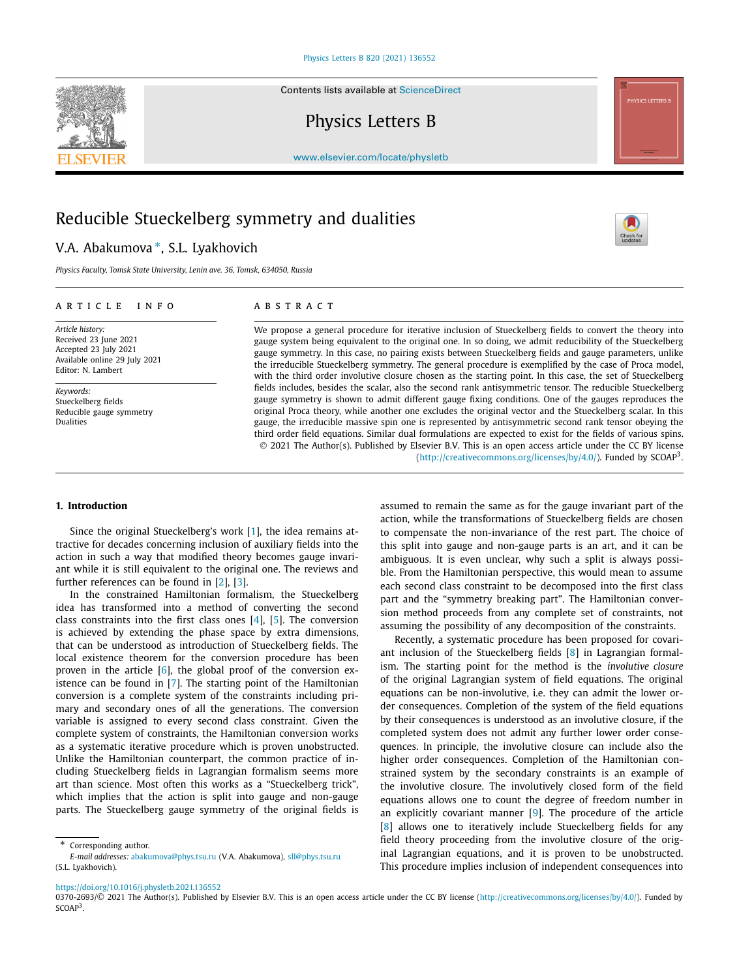Contents lists available at [ScienceDirect](http://www.ScienceDirect.com/)

Physics Letters B



[www.elsevier.com/locate/physletb](http://www.elsevier.com/locate/physletb)

# Reducible Stueckelberg symmetry and dualities

## V.A. Abakumova ∗, S.L. Lyakhovich

*Physics Faculty, Tomsk State University, Lenin ave. 36, Tomsk, 634050, Russia*

#### A R T I C L E I N F O A B S T R A C T

*Article history:* Received 23 June 2021 Accepted 23 July 2021 Available online 29 July 2021 Editor: N. Lambert

*Keywords:* Stueckelberg fields Reducible gauge symmetry Dualities

We propose a general procedure for iterative inclusion of Stueckelberg fields to convert the theory into gauge system being equivalent to the original one. In so doing, we admit reducibility of the Stueckelberg gauge symmetry. In this case, no pairing exists between Stueckelberg fields and gauge parameters, unlike the irreducible Stueckelberg symmetry. The general procedure is exemplified by the case of Proca model, with the third order involutive closure chosen as the starting point. In this case, the set of Stueckelberg fields includes, besides the scalar, also the second rank antisymmetric tensor. The reducible Stueckelberg gauge symmetry is shown to admit different gauge fixing conditions. One of the gauges reproduces the original Proca theory, while another one excludes the original vector and the Stueckelberg scalar. In this gauge, the irreducible massive spin one is represented by antisymmetric second rank tensor obeying the third order field equations. Similar dual formulations are expected to exist for the fields of various spins. © 2021 The Author(s). Published by Elsevier B.V. This is an open access article under the CC BY license [\(http://creativecommons.org/licenses/by/4.0/\)](http://creativecommons.org/licenses/by/4.0/). Funded by SCOAP3.

#### **1. Introduction**

Since the original Stueckelberg's work [\[1\]](#page-5-0), the idea remains attractive for decades concerning inclusion of auxiliary fields into the action in such a way that modified theory becomes gauge invariant while it is still equivalent to the original one. The reviews and further references can be found in [[2](#page-5-0)], [[3\]](#page-5-0).

In the constrained Hamiltonian formalism, the Stueckelberg idea has transformed into a method of converting the second class constraints into the first class ones [[4](#page-5-0)], [\[5\]](#page-5-0). The conversion is achieved by extending the phase space by extra dimensions, that can be understood as introduction of Stueckelberg fields. The local existence theorem for the conversion procedure has been proven in the article  $[6]$ , the global proof of the conversion existence can be found in [\[7\]](#page-5-0). The starting point of the Hamiltonian conversion is a complete system of the constraints including primary and secondary ones of all the generations. The conversion variable is assigned to every second class constraint. Given the complete system of constraints, the Hamiltonian conversion works as a systematic iterative procedure which is proven unobstructed. Unlike the Hamiltonian counterpart, the common practice of including Stueckelberg fields in Lagrangian formalism seems more art than science. Most often this works as a "Stueckelberg trick", which implies that the action is split into gauge and non-gauge parts. The Stueckelberg gauge symmetry of the original fields is

assumed to remain the same as for the gauge invariant part of the action, while the transformations of Stueckelberg fields are chosen to compensate the non-invariance of the rest part. The choice of this split into gauge and non-gauge parts is an art, and it can be ambiguous. It is even unclear, why such a split is always possible. From the Hamiltonian perspective, this would mean to assume each second class constraint to be decomposed into the first class part and the "symmetry breaking part". The Hamiltonian conversion method proceeds from any complete set of constraints, not assuming the possibility of any decomposition of the constraints.

Recently, a systematic procedure has been proposed for covariant inclusion of the Stueckelberg fields [[8](#page-5-0)] in Lagrangian formalism. The starting point for the method is the *involutive closure* of the original Lagrangian system of field equations. The original equations can be non-involutive, i.e. they can admit the lower order consequences. Completion of the system of the field equations by their consequences is understood as an involutive closure, if the completed system does not admit any further lower order consequences. In principle, the involutive closure can include also the higher order consequences. Completion of the Hamiltonian constrained system by the secondary constraints is an example of the involutive closure. The involutively closed form of the field equations allows one to count the degree of freedom number in an explicitly covariant manner  $[9]$  $[9]$  $[9]$ . The procedure of the article [\[8](#page-5-0)] allows one to iteratively include Stueckelberg fields for any field theory proceeding from the involutive closure of the original Lagrangian equations, and it is proven to be unobstructed. This procedure implies inclusion of independent consequences into

<https://doi.org/10.1016/j.physletb.2021.136552>

0370-2693/© 2021 The Author(s). Published by Elsevier B.V. This is an open access article under the CC BY license [\(http://creativecommons.org/licenses/by/4.0/](http://creativecommons.org/licenses/by/4.0/)). Funded by SCOAP<sup>3</sup>.



Corresponding author. *E-mail addresses:* [abakumova@phys.tsu.ru](mailto:abakumova@phys.tsu.ru) (V.A. Abakumova), [sll@phys.tsu.ru](mailto:sll@phys.tsu.ru) (S.L. Lyakhovich).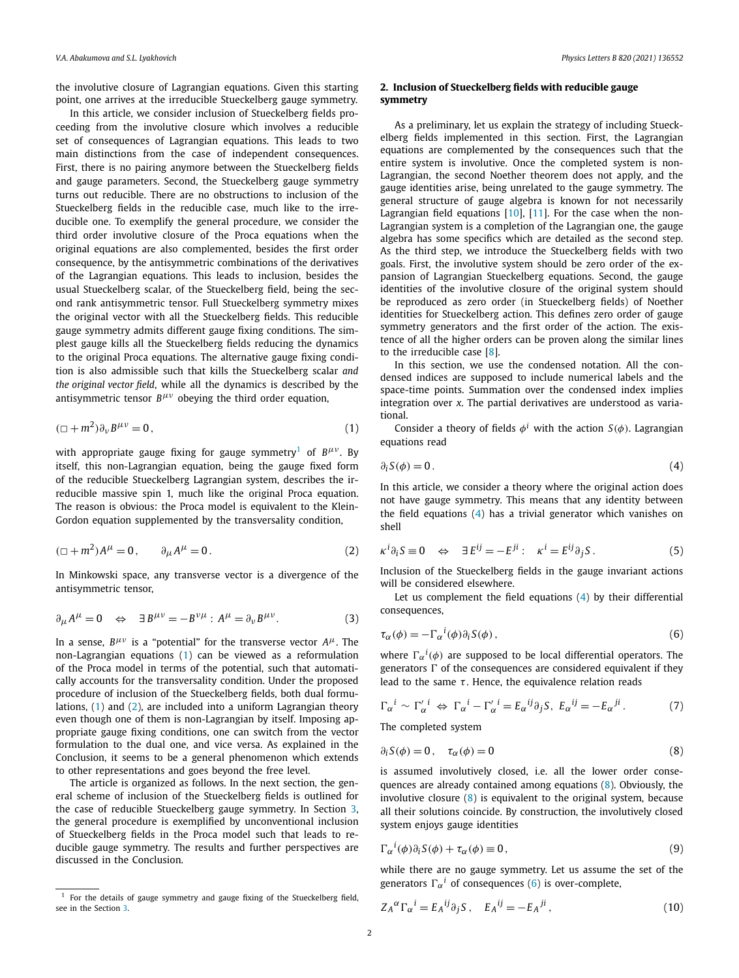<span id="page-1-0"></span>the involutive closure of Lagrangian equations. Given this starting point, one arrives at the irreducible Stueckelberg gauge symmetry.

In this article, we consider inclusion of Stueckelberg fields proceeding from the involutive closure which involves a reducible set of consequences of Lagrangian equations. This leads to two main distinctions from the case of independent consequences. First, there is no pairing anymore between the Stueckelberg fields and gauge parameters. Second, the Stueckelberg gauge symmetry turns out reducible. There are no obstructions to inclusion of the Stueckelberg fields in the reducible case, much like to the irreducible one. To exemplify the general procedure, we consider the third order involutive closure of the Proca equations when the original equations are also complemented, besides the first order consequence, by the antisymmetric combinations of the derivatives of the Lagrangian equations. This leads to inclusion, besides the usual Stueckelberg scalar, of the Stueckelberg field, being the second rank antisymmetric tensor. Full Stueckelberg symmetry mixes the original vector with all the Stueckelberg fields. This reducible gauge symmetry admits different gauge fixing conditions. The simplest gauge kills all the Stueckelberg fields reducing the dynamics to the original Proca equations. The alternative gauge fixing condition is also admissible such that kills the Stueckelberg scalar *and the original vector field*, while all the dynamics is described by the antisymmetric tensor *Bμν* obeying the third order equation,

$$
(\Box + m^2)\partial_\nu B^{\mu\nu} = 0, \qquad (1)
$$

with appropriate gauge fixing for gauge symmetry<sup>1</sup> of  $B^{\mu\nu}$ . By itself, this non-Lagrangian equation, being the gauge fixed form of the reducible Stueckelberg Lagrangian system, describes the irreducible massive spin 1, much like the original Proca equation. The reason is obvious: the Proca model is equivalent to the Klein-Gordon equation supplemented by the transversality condition,

$$
(\Box + m^2)A^{\mu} = 0, \qquad \partial_{\mu}A^{\mu} = 0.
$$
 (2)

In Minkowski space, any transverse vector is a divergence of the antisymmetric tensor,

$$
\partial_{\mu}A^{\mu} = 0 \quad \Leftrightarrow \quad \exists B^{\mu\nu} = -B^{\nu\mu} : A^{\mu} = \partial_{\nu}B^{\mu\nu}.
$$
 (3)

In a sense,  $B^{\mu\nu}$  is a "potential" for the transverse vector  $A^{\mu}$ . The non-Lagrangian equations (1) can be viewed as a reformulation of the Proca model in terms of the potential, such that automatically accounts for the transversality condition. Under the proposed procedure of inclusion of the Stueckelberg fields, both dual formulations, (1) and (2), are included into a uniform Lagrangian theory even though one of them is non-Lagrangian by itself. Imposing appropriate gauge fixing conditions, one can switch from the vector formulation to the dual one, and vice versa. As explained in the Conclusion, it seems to be a general phenomenon which extends to other representations and goes beyond the free level.

The article is organized as follows. In the next section, the general scheme of inclusion of the Stueckelberg fields is outlined for the case of reducible Stueckelberg gauge symmetry. In Section [3,](#page-3-0) the general procedure is exemplified by unconventional inclusion of Stueckelberg fields in the Proca model such that leads to reducible gauge symmetry. The results and further perspectives are discussed in the Conclusion.

### **2. Inclusion of Stueckelberg fields with reducible gauge symmetry**

As a preliminary, let us explain the strategy of including Stueckelberg fields implemented in this section. First, the Lagrangian equations are complemented by the consequences such that the entire system is involutive. Once the completed system is non-Lagrangian, the second Noether theorem does not apply, and the gauge identities arise, being unrelated to the gauge symmetry. The general structure of gauge algebra is known for not necessarily Lagrangian field equations [\[10\]](#page-5-0), [[11](#page-5-0)]. For the case when the non-Lagrangian system is a completion of the Lagrangian one, the gauge algebra has some specifics which are detailed as the second step. As the third step, we introduce the Stueckelberg fields with two goals. First, the involutive system should be zero order of the expansion of Lagrangian Stueckelberg equations. Second, the gauge identities of the involutive closure of the original system should be reproduced as zero order (in Stueckelberg fields) of Noether identities for Stueckelberg action. This defines zero order of gauge symmetry generators and the first order of the action. The existence of all the higher orders can be proven along the similar lines to the irreducible case [\[8](#page-5-0)].

In this section, we use the condensed notation. All the condensed indices are supposed to include numerical labels and the space-time points. Summation over the condensed index implies integration over *x*. The partial derivatives are understood as variational.

Consider a theory of fields  $\phi^i$  with the action  $S(\phi)$ . Lagrangian equations read

$$
\partial_i S(\phi) = 0. \tag{4}
$$

In this article, we consider a theory where the original action does not have gauge symmetry. This means that any identity between the field equations (4) has a trivial generator which vanishes on shell

$$
\kappa^{i}\partial_{i}S \equiv 0 \quad \Leftrightarrow \quad \exists E^{ij} = -E^{ji} : \quad \kappa^{i} = E^{ij}\partial_{j}S. \tag{5}
$$

Inclusion of the Stueckelberg fields in the gauge invariant actions will be considered elsewhere.

Let us complement the field equations (4) by their differential consequences,

$$
\tau_{\alpha}(\phi) = -\Gamma_{\alpha}{}^{i}(\phi)\partial_{i}S(\phi) , \qquad (6)
$$

where  $\Gamma_{\alpha}{}^{i}(\phi)$  are supposed to be local differential operators. The generators  $\Gamma$  of the consequences are considered equivalent if they lead to the same *τ*. Hence, the equivalence relation reads

$$
\Gamma_{\alpha}{}^{i} \sim \Gamma_{\alpha}{}'{}^{i} \Leftrightarrow \Gamma_{\alpha}{}^{i} - \Gamma_{\alpha}{}'{}^{i} = E_{\alpha}{}^{ij} \partial_{j} S, \ E_{\alpha}{}^{ij} = -E_{\alpha}{}^{ji}. \tag{7}
$$

The completed system

$$
\partial_i S(\phi) = 0, \quad \tau_\alpha(\phi) = 0 \tag{8}
$$

is assumed involutively closed, i.e. all the lower order consequences are already contained among equations (8). Obviously, the involutive closure (8) is equivalent to the original system, because all their solutions coincide. By construction, the involutively closed system enjoys gauge identities

$$
\Gamma_{\alpha}{}^{i}(\phi)\partial_{i}S(\phi) + \tau_{\alpha}(\phi) \equiv 0, \qquad (9)
$$

while there are no gauge symmetry. Let us assume the set of the generators  $\Gamma_{\alpha}{}^{i}$  of consequences (6) is over-complete,

$$
Z_A{}^{\alpha} \Gamma_{\alpha}{}^i = E_A{}^{ij} \partial_j S \,, \quad E_A{}^{ij} = -E_A{}^{ji} \,, \tag{10}
$$

 $1$  For the details of gauge symmetry and gauge fixing of the Stueckelberg field, see in the Section [3](#page-3-0).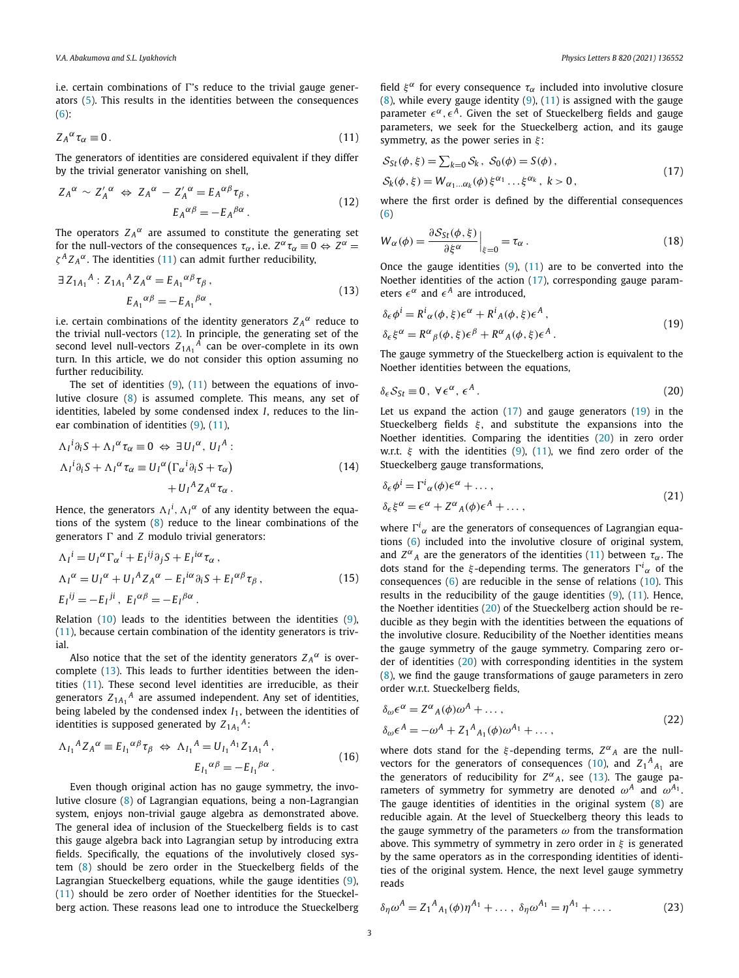<span id="page-2-0"></span>i.e. certain combinations of  $\Gamma$ 's reduce to the trivial gauge generators [\(5](#page-1-0)). This results in the identities between the consequences [\(6](#page-1-0)):

$$
Z_A{}^\alpha \tau_\alpha \equiv 0. \tag{11}
$$

The generators of identities are considered equivalent if they differ by the trivial generator vanishing on shell,

$$
Z_A^{\alpha} \sim Z_A^{\prime \alpha} \iff Z_A^{\alpha} - Z_A^{\prime \alpha} = E_A^{\alpha \beta} \tau_{\beta},
$$
  

$$
E_A^{\alpha \beta} = -E_A^{\beta \alpha}.
$$
 (12)

The operators  $Z_A^{\alpha}$  are assumed to constitute the generating set for the null-vectors of the consequences  $\tau_{\alpha}$ , i.e.  $Z^{\alpha} \tau_{\alpha} \equiv 0 \Leftrightarrow Z^{\alpha} = 0$ *ζ <sup>A</sup> Z <sup>A</sup> <sup>α</sup>*. The identities (11) can admit further reducibility,

$$
\exists Z_{1A_1}{}^A : Z_{1A_1}{}^A Z_A{}^\alpha = E_{A_1}{}^{\alpha\beta} \tau_\beta ,
$$
  
\n
$$
E_{A_1}{}^{\alpha\beta} = -E_{A_1}{}^{\beta\alpha} ,
$$
\n(13)

i.e. certain combinations of the identity generators  $Z_A^{\alpha}$  reduce to the trivial null-vectors (12). In principle, the generating set of the second level null-vectors  $Z_{1A_1}{}^A$  can be over-complete in its own turn. In this article, we do not consider this option assuming no further reducibility.

The set of identities  $(9)$  $(9)$ ,  $(11)$  between the equations of involutive closure [\(8\)](#page-1-0) is assumed complete. This means, any set of identities, labeled by some condensed index *I*, reduces to the linear combination of identities [\(9\)](#page-1-0), (11),

$$
\Lambda_{I}{}^{i}\partial_{i}S + \Lambda_{I}{}^{\alpha}\tau_{\alpha} \equiv 0 \Leftrightarrow \exists U_{I}{}^{\alpha}, U_{I}{}^{A} : \n\Lambda_{I}{}^{i}\partial_{i}S + \Lambda_{I}{}^{\alpha}\tau_{\alpha} \equiv U_{I}{}^{\alpha}(\Gamma_{\alpha}{}^{i}\partial_{i}S + \tau_{\alpha}) \n+ U_{I}{}^{A}Z_{A}{}^{\alpha}\tau_{\alpha} .
$$
\n(14)

Hence, the generators  $\Lambda_I^i$ ,  $\Lambda_I^{\alpha}$  of any identity between the equations of the system [\(8\)](#page-1-0) reduce to the linear combinations of the generators  $\Gamma$  and  $Z$  modulo trivial generators:

$$
\Delta_I^i = U_I^{\alpha} \Gamma_{\alpha}^i + E_I^{ij} \partial_j S + E_I^{i\alpha} \tau_{\alpha} ,
$$
  
\n
$$
\Delta_I^{\alpha} = U_I^{\alpha} + U_I^{\beta} Z_A^{\alpha} - E_I^{i\alpha} \partial_i S + E_I^{\alpha \beta} \tau_{\beta} ,
$$
  
\n
$$
E_I^{ij} = -E_I^{ji}, \ E_I^{\alpha \beta} = -E_I^{\beta \alpha} .
$$
\n(15)

Relation [\(10\)](#page-1-0) leads to the identities between the identities [\(9\)](#page-1-0), (11), because certain combination of the identity generators is trivial.

Also notice that the set of the identity generators  $Z_A^{\alpha}$  is overcomplete (13). This leads to further identities between the identities (11). These second level identities are irreducible, as their generators *Z*1*A*<sup>1</sup> *<sup>A</sup>* are assumed independent. Any set of identities, being labeled by the condensed index *I*1, between the identities of identities is supposed generated by  $Z_{1A_1}{}^A$ :

$$
\Lambda_{I_1}{}^A Z_A{}^\alpha \equiv E_{I_1}{}^{\alpha\beta} \tau_\beta \iff \Lambda_{I_1}{}^A = U_{I_1}{}^{A_1} Z_{1A_1}{}^A,
$$
\n
$$
E_{I_1}{}^{\alpha\beta} = -E_{I_1}{}^{\beta\alpha}.
$$
\n(16)

Even though original action has no gauge symmetry, the involutive closure [\(8\)](#page-1-0) of Lagrangian equations, being a non-Lagrangian system, enjoys non-trivial gauge algebra as demonstrated above. The general idea of inclusion of the Stueckelberg fields is to cast this gauge algebra back into Lagrangian setup by introducing extra fields. Specifically, the equations of the involutively closed system ([8](#page-1-0)) should be zero order in the Stueckelberg fields of the Lagrangian Stueckelberg equations, while the gauge identities [\(9\)](#page-1-0), (11) should be zero order of Noether identities for the Stueckelberg action. These reasons lead one to introduce the Stueckelberg

field  $\xi^{\alpha}$  for every consequence  $\tau_{\alpha}$  included into involutive closure  $(8)$  $(8)$ , while every gauge identity  $(9)$  $(9)$ ,  $(11)$  is assigned with the gauge parameter  $\epsilon^{\alpha}$ ,  $\epsilon^{A}$ . Given the set of Stueckelberg fields and gauge parameters, we seek for the Stueckelberg action, and its gauge symmetry, as the power series in *ξ* :

$$
S_{St}(\phi, \xi) = \sum_{k=0} S_k, S_0(\phi) = S(\phi),
$$
  
\n
$$
S_k(\phi, \xi) = W_{\alpha_1...\alpha_k}(\phi) \xi^{\alpha_1} \dots \xi^{\alpha_k}, k > 0,
$$
\n(17)

where the first order is defined by the differential consequences [\(6](#page-1-0))

$$
W_{\alpha}(\phi) = \frac{\partial S_{St}(\phi, \xi)}{\partial \xi^{\alpha}} \Big|_{\xi=0} = \tau_{\alpha} \,. \tag{18}
$$

Once the gauge identities  $(9)$  $(9)$ ,  $(11)$  are to be converted into the Noether identities of the action (17), corresponding gauge parameters  $\epsilon^{\alpha}$  and  $\epsilon^{A}$  are introduced,

$$
\delta_{\epsilon} \phi^{i} = R^{i}{}_{\alpha}(\phi, \xi) \epsilon^{\alpha} + R^{i}{}_{A}(\phi, \xi) \epsilon^{A},
$$
  

$$
\delta_{\epsilon} \xi^{\alpha} = R^{\alpha}{}_{\beta}(\phi, \xi) \epsilon^{\beta} + R^{\alpha}{}_{A}(\phi, \xi) \epsilon^{A}.
$$
 (19)

The gauge symmetry of the Stueckelberg action is equivalent to the Noether identities between the equations,

$$
\delta_{\epsilon} S_{St} \equiv 0, \ \forall \epsilon^{\alpha}, \ \epsilon^A \,. \tag{20}
$$

Let us expand the action  $(17)$  and gauge generators  $(19)$  in the Stueckelberg fields *ξ* , and substitute the expansions into the Noether identities. Comparing the identities (20) in zero order w.r.t. *ξ* with the identities ([9\)](#page-1-0), (11), we find zero order of the Stueckelberg gauge transformations,

$$
\delta_{\epsilon}\phi^{i} = \Gamma^{i}{}_{\alpha}(\phi)\epsilon^{\alpha} + \dots, \n\delta_{\epsilon}\xi^{\alpha} = \epsilon^{\alpha} + Z^{\alpha}{}_{A}(\phi)\epsilon^{A} + \dots,
$$
\n(21)

where  $\Gamma^i{}_\alpha$  are the generators of consequences of Lagrangian equations [\(6\)](#page-1-0) included into the involutive closure of original system, and  $Z^{\alpha}{}_{A}$  are the generators of the identities (11) between  $\tau_{\alpha}$ . The dots stand for the *ξ*-depending terms. The generators  $\Gamma^i_{\alpha}$  of the consequences  $(6)$  $(6)$  $(6)$  are reducible in the sense of relations  $(10)$  $(10)$ . This results in the reducibility of the gauge identities [\(9\)](#page-1-0), (11). Hence, the Noether identities (20) of the Stueckelberg action should be reducible as they begin with the identities between the equations of the involutive closure. Reducibility of the Noether identities means the gauge symmetry of the gauge symmetry. Comparing zero order of identities (20) with corresponding identities in the system  $(8)$  $(8)$ , we find the gauge transformations of gauge parameters in zero order w.r.t. Stueckelberg fields,

$$
\delta_{\omega} \epsilon^{\alpha} = Z^{\alpha}{}_{A}(\phi)\omega^{A} + \dots,
$$
  
\n
$$
\delta_{\omega} \epsilon^{A} = -\omega^{A} + Z_{1}{}^{A}{}_{A_{1}}(\phi)\omega^{A_{1}} + \dots,
$$
\n(22)

where dots stand for the  $\xi$ -depending terms,  $Z^{\alpha}{}_{A}$  are the null-vectors for the generators of consequences ([10](#page-1-0)), and  $Z_1{}^A{}_{A_1}$  are the generators of reducibility for  $Z^{\alpha}{}_{A}$ , see (13). The gauge parameters of symmetry for symmetry are denoted  $\omega^A$  and  $\omega^{A_1}$ . The gauge identities of identities in the original system [\(8\)](#page-1-0) are reducible again. At the level of Stueckelberg theory this leads to the gauge symmetry of the parameters *ω* from the transformation above. This symmetry of symmetry in zero order in *ξ* is generated by the same operators as in the corresponding identities of identities of the original system. Hence, the next level gauge symmetry reads

$$
\delta_{\eta}\omega^{A} = Z_{1}{}^{A}{}_{A_{1}}(\phi)\eta^{A_{1}} + \dots, \ \delta_{\eta}\omega^{A_{1}} = \eta^{A_{1}} + \dots \tag{23}
$$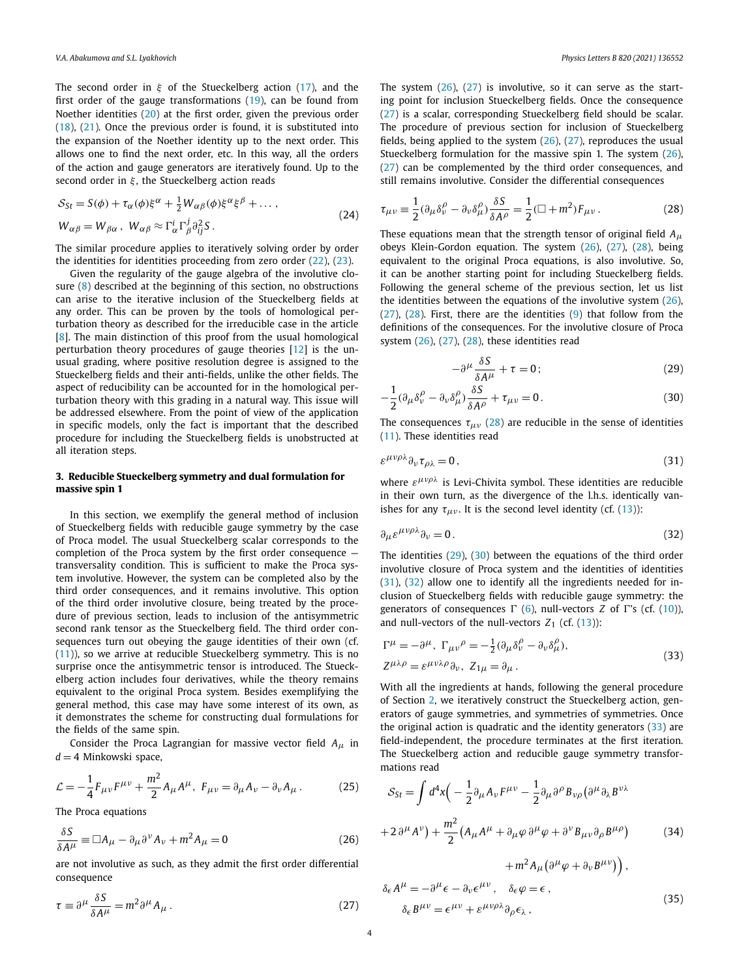<span id="page-3-0"></span>The second order in *ξ* of the Stueckelberg action [\(17](#page-2-0)), and the first order of the gauge transformations [\(19](#page-2-0)), can be found from Noether identities [\(20\)](#page-2-0) at the first order, given the previous order [\(18\)](#page-2-0), [\(21](#page-2-0)). Once the previous order is found, it is substituted into the expansion of the Noether identity up to the next order. This allows one to find the next order, etc. In this way, all the orders of the action and gauge generators are iteratively found. Up to the second order in *ξ* , the Stueckelberg action reads

$$
S_{St} = S(\phi) + \tau_{\alpha}(\phi)\xi^{\alpha} + \frac{1}{2}W_{\alpha\beta}(\phi)\xi^{\alpha}\xi^{\beta} + \dots,
$$
  

$$
W_{\alpha\beta} = W_{\beta\alpha}, \ W_{\alpha\beta} \approx \Gamma_{\alpha}^{i} \Gamma_{\beta}^{j} \partial_{ij}^{2} S.
$$
 (24)

The similar procedure applies to iteratively solving order by order the identities for identities proceeding from zero order [\(22\)](#page-2-0), [\(23\)](#page-2-0).

Given the regularity of the gauge algebra of the involutive closure [\(8\)](#page-1-0) described at the beginning of this section, no obstructions can arise to the iterative inclusion of the Stueckelberg fields at any order. This can be proven by the tools of homological perturbation theory as described for the irreducible case in the article [\[8](#page-5-0)]. The main distinction of this proof from the usual homological perturbation theory procedures of gauge theories [\[12](#page-5-0)] is the unusual grading, where positive resolution degree is assigned to the Stueckelberg fields and their anti-fields, unlike the other fields. The aspect of reducibility can be accounted for in the homological perturbation theory with this grading in a natural way. This issue will be addressed elsewhere. From the point of view of the application in specific models, only the fact is important that the described procedure for including the Stueckelberg fields is unobstructed at all iteration steps.

#### **3. Reducible Stueckelberg symmetry and dual formulation for massive spin 1**

In this section, we exemplify the general method of inclusion of Stueckelberg fields with reducible gauge symmetry by the case of Proca model. The usual Stueckelberg scalar corresponds to the completion of the Proca system by the first order consequence transversality condition. This is sufficient to make the Proca system involutive. However, the system can be completed also by the third order consequences, and it remains involutive. This option of the third order involutive closure, being treated by the procedure of previous section, leads to inclusion of the antisymmetric second rank tensor as the Stueckelberg field. The third order consequences turn out obeying the gauge identities of their own (cf. [\(11\)](#page-2-0)), so we arrive at reducible Stueckelberg symmetry. This is no surprise once the antisymmetric tensor is introduced. The Stueckelberg action includes four derivatives, while the theory remains equivalent to the original Proca system. Besides exemplifying the general method, this case may have some interest of its own, as it demonstrates the scheme for constructing dual formulations for the fields of the same spin.

Consider the Proca Lagrangian for massive vector field *Aμ* in  $d = 4$  Minkowski space,

$$
\mathcal{L} = -\frac{1}{4} F_{\mu\nu} F^{\mu\nu} + \frac{m^2}{2} A_{\mu} A^{\mu}, \ F_{\mu\nu} = \partial_{\mu} A_{\nu} - \partial_{\nu} A_{\mu} \,. \tag{25}
$$

The Proca equations

$$
\frac{\delta S}{\delta A^{\mu}} \equiv \Box A_{\mu} - \partial_{\mu} \partial^{\nu} A_{\nu} + m^2 A_{\mu} = 0
$$
 (26)

are not involutive as such, as they admit the first order differential consequence

$$
\tau \equiv \partial^{\mu} \frac{\delta S}{\delta A^{\mu}} = m^2 \partial^{\mu} A_{\mu} . \tag{27}
$$

The system  $(26)$ ,  $(27)$  is involutive, so it can serve as the starting point for inclusion Stueckelberg fields. Once the consequence (27) is a scalar, corresponding Stueckelberg field should be scalar. The procedure of previous section for inclusion of Stueckelberg fields, being applied to the system  $(26)$ ,  $(27)$ , reproduces the usual Stueckelberg formulation for the massive spin 1. The system (26), (27) can be complemented by the third order consequences, and still remains involutive. Consider the differential consequences

$$
\tau_{\mu\nu} \equiv \frac{1}{2} (\partial_{\mu} \delta^{\rho}_{\nu} - \partial_{\nu} \delta^{\rho}_{\mu}) \frac{\delta S}{\delta A^{\rho}} = \frac{1}{2} (\Box + m^{2}) F_{\mu\nu} . \tag{28}
$$

These equations mean that the strength tensor of original field *Aμ* obeys Klein-Gordon equation. The system (26), (27), (28), being equivalent to the original Proca equations, is also involutive. So, it can be another starting point for including Stueckelberg fields. Following the general scheme of the previous section, let us list the identities between the equations of the involutive system  $(26)$ ,  $(27)$ ,  $(28)$ . First, there are the identities  $(9)$  $(9)$  that follow from the definitions of the consequences. For the involutive closure of Proca system  $(26)$ ,  $(27)$ ,  $(28)$ , these identities read

$$
-\partial^{\mu}\frac{\delta S}{\delta A^{\mu}} + \tau = 0;
$$
 (29)

$$
-\frac{1}{2}(\partial_{\mu}\delta^{\rho}_{\nu} - \partial_{\nu}\delta^{\rho}_{\mu})\frac{\delta S}{\delta A^{\rho}} + \tau_{\mu\nu} = 0.
$$
 (30)

The consequences  $\tau_{\mu\nu}$  (28) are reducible in the sense of identities [\(11\)](#page-2-0). These identities read

$$
\varepsilon^{\mu\nu\rho\lambda}\partial_{\nu}\tau_{\rho\lambda}=0\,,\tag{31}
$$

where *εμνρλ* is Levi-Chivita symbol. These identities are reducible in their own turn, as the divergence of the l.h.s. identically vanishes for any  $\tau_{\mu\nu}$ . It is the second level identity (cf. ([13\)](#page-2-0)):

$$
\partial_{\mu} \varepsilon^{\mu\nu\rho\lambda} \partial_{\nu} = 0. \tag{32}
$$

The identities (29), (30) between the equations of the third order involutive closure of Proca system and the identities of identities (31), (32) allow one to identify all the ingredients needed for inclusion of Stueckelberg fields with reducible gauge symmetry: the generators of consequences  $\Gamma$  ([6](#page-1-0)), null-vectors *Z* of  $\Gamma$ 's (cf. ([10\)](#page-1-0)), and null-vectors of the null-vectors  $Z_1$  (cf.  $(13)$  $(13)$ ):

$$
\Gamma^{\mu} = -\partial^{\mu}, \ \Gamma_{\mu\nu}{}^{\rho} = -\frac{1}{2} (\partial_{\mu} \delta^{\rho}_{\nu} - \partial_{\nu} \delta^{\rho}_{\mu}), \nZ^{\mu\lambda\rho} = \varepsilon^{\mu\nu\lambda\rho} \partial_{\nu}, \ Z_{1\mu} = \partial_{\mu}.
$$
\n(33)

*ρ*

With all the ingredients at hands, following the general procedure of Section [2,](#page-1-0) we iteratively construct the Stueckelberg action, generators of gauge symmetries, and symmetries of symmetries. Once the original action is quadratic and the identity generators (33) are field-independent, the procedure terminates at the first iteration. The Stueckelberg action and reducible gauge symmetry transformations read

$$
S_{St} = \int d^4x \Big( -\frac{1}{2} \partial_\mu A_\nu F^{\mu\nu} - \frac{1}{2} \partial_\mu \partial^\rho B_{\nu\rho} \big( \partial^\mu \partial_\lambda B^{\nu\lambda} + 2 \partial^\mu A^\nu \big) + \frac{m^2}{2} \big( A_\mu A^\mu + \partial_\mu \varphi \partial^\mu \varphi + \partial^\nu B_{\mu\nu} \partial_\rho B^{\mu\rho} \big) + m^2 A_\mu \big( \partial^\mu \varphi + \partial_\nu B^{\mu\nu} \big) \Big), \tag{34}
$$

$$
\delta_{\epsilon} A^{\mu} = -\partial^{\mu} \epsilon - \partial_{\nu} \epsilon^{\mu \nu}, \quad \delta_{\epsilon} \varphi = \epsilon ,
$$
  

$$
\delta_{\epsilon} B^{\mu \nu} = \epsilon^{\mu \nu} + \epsilon^{\mu \nu \rho \lambda} \partial_{\rho} \epsilon_{\lambda} ,
$$
 (35)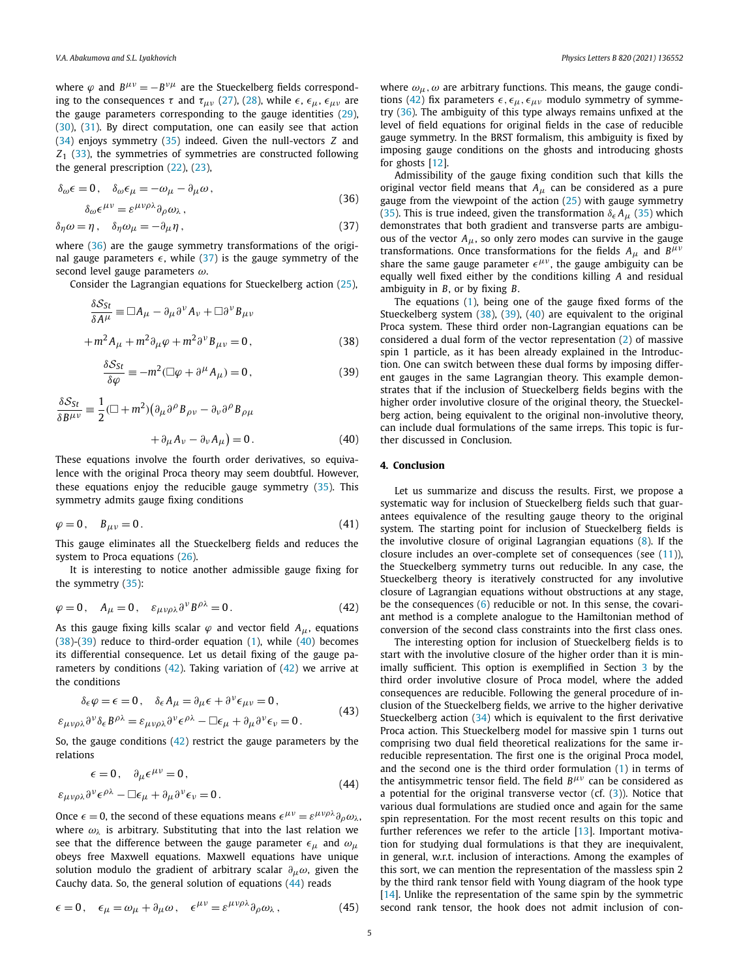where  $\varphi$  and  $B^{\mu\nu} = -B^{\nu\mu}$  are the Stueckelberg fields corresponding to the consequences *τ* and  $τ_{μν}$  ([27\)](#page-3-0), [\(28\)](#page-3-0), while  $ε$ ,  $ε_{μ}$ ,  $ε_{μν}$  are the gauge parameters corresponding to the gauge identities ([29\)](#page-3-0), [\(30\)](#page-3-0), ([31\)](#page-3-0). By direct computation, one can easily see that action [\(34\)](#page-3-0) enjoys symmetry ([35\)](#page-3-0) indeed. Given the null-vectors *Z* and *Z*<sup>1</sup> ([33](#page-3-0)), the symmetries of symmetries are constructed following the general prescription [\(22](#page-2-0)), [\(23](#page-2-0)),

$$
\delta_{\omega}\epsilon = 0, \quad \delta_{\omega}\epsilon_{\mu} = -\omega_{\mu} - \partial_{\mu}\omega,
$$
  

$$
\delta_{\omega}\epsilon^{\mu\nu} = \epsilon^{\mu\nu\rho\lambda}\partial_{\rho}\omega_{\lambda},
$$
 (36)

$$
\delta_{\eta}\omega = \eta\,,\quad \delta_{\eta}\omega_{\mu} = -\partial_{\mu}\eta\,,\tag{37}
$$

where (36) are the gauge symmetry transformations of the original gauge parameters  $\epsilon$ , while (37) is the gauge symmetry of the second level gauge parameters *ω*.

Consider the Lagrangian equations for Stueckelberg action ([25](#page-3-0)),

$$
\frac{\delta S_{St}}{\delta A^{\mu}} \equiv \Box A_{\mu} - \partial_{\mu} \partial^{\nu} A_{\nu} + \Box \partial^{\nu} B_{\mu \nu}
$$

$$
+ m^{2} A_{\mu} + m^{2} \partial_{\mu} \varphi + m^{2} \partial^{\nu} B_{\mu \nu} = 0, \qquad (38)
$$

$$
\frac{\delta S_{St}}{\delta \varphi} \equiv -m^2 (\Box \varphi + \partial^\mu A_\mu) = 0, \qquad (39)
$$

$$
\frac{\delta S_{St}}{\delta B^{\mu\nu}} = \frac{1}{2} (\Box + m^2) (\partial_{\mu} \partial^{\rho} B_{\rho\nu} - \partial_{\nu} \partial^{\rho} B_{\rho\mu} + \partial_{\mu} A_{\nu} - \partial_{\nu} A_{\mu}) = 0.
$$
 (40)

These equations involve the fourth order derivatives, so equivalence with the original Proca theory may seem doubtful. However, these equations enjoy the reducible gauge symmetry ([35\)](#page-3-0). This symmetry admits gauge fixing conditions

$$
\varphi = 0, \quad B_{\mu\nu} = 0. \tag{41}
$$

This gauge eliminates all the Stueckelberg fields and reduces the system to Proca equations ([26\)](#page-3-0).

It is interesting to notice another admissible gauge fixing for the symmetry [\(35](#page-3-0)):

$$
\varphi = 0, \quad A_{\mu} = 0, \quad \varepsilon_{\mu\nu\rho\lambda} \partial^{\nu} B^{\rho\lambda} = 0. \tag{42}
$$

As this gauge fixing kills scalar  $\varphi$  and vector field  $A_\mu$ , equations  $(38)-(39)$  reduce to third-order equation  $(1)$  $(1)$ , while  $(40)$  becomes its differential consequence. Let us detail fixing of the gauge parameters by conditions (42). Taking variation of (42) we arrive at the conditions

$$
\delta_{\epsilon}\varphi = \epsilon = 0, \quad \delta_{\epsilon}A_{\mu} = \partial_{\mu}\epsilon + \partial^{\nu}\epsilon_{\mu\nu} = 0, \n\varepsilon_{\mu\nu\rho\lambda}\partial^{\nu}\delta_{\epsilon}B^{\rho\lambda} = \varepsilon_{\mu\nu\rho\lambda}\partial^{\nu}\epsilon^{\rho\lambda} - \Box \epsilon_{\mu} + \partial_{\mu}\partial^{\nu}\epsilon_{\nu} = 0.
$$
\n(43)

So, the gauge conditions (42) restrict the gauge parameters by the relations

$$
\epsilon = 0, \quad \partial_{\mu} \epsilon^{\mu \nu} = 0, \n\varepsilon_{\mu \nu \rho \lambda} \partial^{\nu} \epsilon^{\rho \lambda} - \Box \epsilon_{\mu} + \partial_{\mu} \partial^{\nu} \epsilon_{\nu} = 0.
$$
\n(44)

Once *∈* = 0, the second of these equations means  $\epsilon^{\mu\nu} = \epsilon^{\mu\nu\rho\lambda} \partial_{\rho} \omega_{\lambda}$ , where  $\omega_{\lambda}$  is arbitrary. Substituting that into the last relation we see that the difference between the gauge parameter  $\epsilon_{\mu}$  and  $\omega_{\mu}$ obeys free Maxwell equations. Maxwell equations have unique solution modulo the gradient of arbitrary scalar *∂μω*, given the Cauchy data. So, the general solution of equations (44) reads

$$
\epsilon = 0, \quad \epsilon_{\mu} = \omega_{\mu} + \partial_{\mu}\omega, \quad \epsilon^{\mu\nu} = \epsilon^{\mu\nu\rho\lambda}\partial_{\rho}\omega_{\lambda}, \tag{45}
$$

where  $\omega_{\mu}, \omega$  are arbitrary functions. This means, the gauge conditions (42) fix parameters  $\epsilon$ ,  $\epsilon_{\mu}$ ,  $\epsilon_{\mu\nu}$  modulo symmetry of symmetry (36). The ambiguity of this type always remains unfixed at the level of field equations for original fields in the case of reducible gauge symmetry. In the BRST formalism, this ambiguity is fixed by imposing gauge conditions on the ghosts and introducing ghosts for ghosts [\[12\]](#page-5-0).

Admissibility of the gauge fixing condition such that kills the original vector field means that *Aμ* can be considered as a pure gauge from the viewpoint of the action  $(25)$  $(25)$  with gauge symmetry [\(35\)](#page-3-0). This is true indeed, given the transformation  $\delta_{\epsilon} A_{\mu}$  (35) which demonstrates that both gradient and transverse parts are ambiguous of the vector  $A_\mu$ , so only zero modes can survive in the gauge transformations. Once transformations for the fields *<sup>A</sup><sup>μ</sup>* and *<sup>B</sup>μν* share the same gauge parameter  $\epsilon^{\mu\nu}$ , the gauge ambiguity can be equally well fixed either by the conditions killing *A* and residual ambiguity in *B*, or by fixing *B*.

The equations ([1](#page-1-0)), being one of the gauge fixed forms of the Stueckelberg system (38), (39), (40) are equivalent to the original Proca system. These third order non-Lagrangian equations can be considered a dual form of the vector representation ([2](#page-1-0)) of massive spin 1 particle, as it has been already explained in the Introduction. One can switch between these dual forms by imposing different gauges in the same Lagrangian theory. This example demonstrates that if the inclusion of Stueckelberg fields begins with the higher order involutive closure of the original theory, the Stueckelberg action, being equivalent to the original non-involutive theory, can include dual formulations of the same irreps. This topic is further discussed in Conclusion.

#### **4. Conclusion**

Let us summarize and discuss the results. First, we propose a systematic way for inclusion of Stueckelberg fields such that guarantees equivalence of the resulting gauge theory to the original system. The starting point for inclusion of Stueckelberg fields is the involutive closure of original Lagrangian equations [\(8\)](#page-1-0). If the closure includes an over-complete set of consequences (see [\(11\)](#page-2-0)), the Stueckelberg symmetry turns out reducible. In any case, the Stueckelberg theory is iteratively constructed for any involutive closure of Lagrangian equations without obstructions at any stage, be the consequences ([6\)](#page-1-0) reducible or not. In this sense, the covariant method is a complete analogue to the Hamiltonian method of conversion of the second class constraints into the first class ones.

The interesting option for inclusion of Stueckelberg fields is to start with the involutive closure of the higher order than it is minimally sufficient. This option is exemplified in Section [3](#page-3-0) by the third order involutive closure of Proca model, where the added consequences are reducible. Following the general procedure of inclusion of the Stueckelberg fields, we arrive to the higher derivative Stueckelberg action ([34\)](#page-3-0) which is equivalent to the first derivative Proca action. This Stueckelberg model for massive spin 1 turns out comprising two dual field theoretical realizations for the same irreducible representation. The first one is the original Proca model, and the second one is the third order formulation [\(1\)](#page-1-0) in terms of the antisymmetric tensor field. The field *Bμν* can be considered as a potential for the original transverse vector  $(cf. (3))$  $(cf. (3))$  $(cf. (3))$ . Notice that various dual formulations are studied once and again for the same spin representation. For the most recent results on this topic and further references we refer to the article [\[13\]](#page-5-0). Important motivation for studying dual formulations is that they are inequivalent, in general, w.r.t. inclusion of interactions. Among the examples of this sort, we can mention the representation of the massless spin 2 by the third rank tensor field with Young diagram of the hook type  $[14]$ . Unlike the representation of the same spin by the symmetric second rank tensor, the hook does not admit inclusion of con